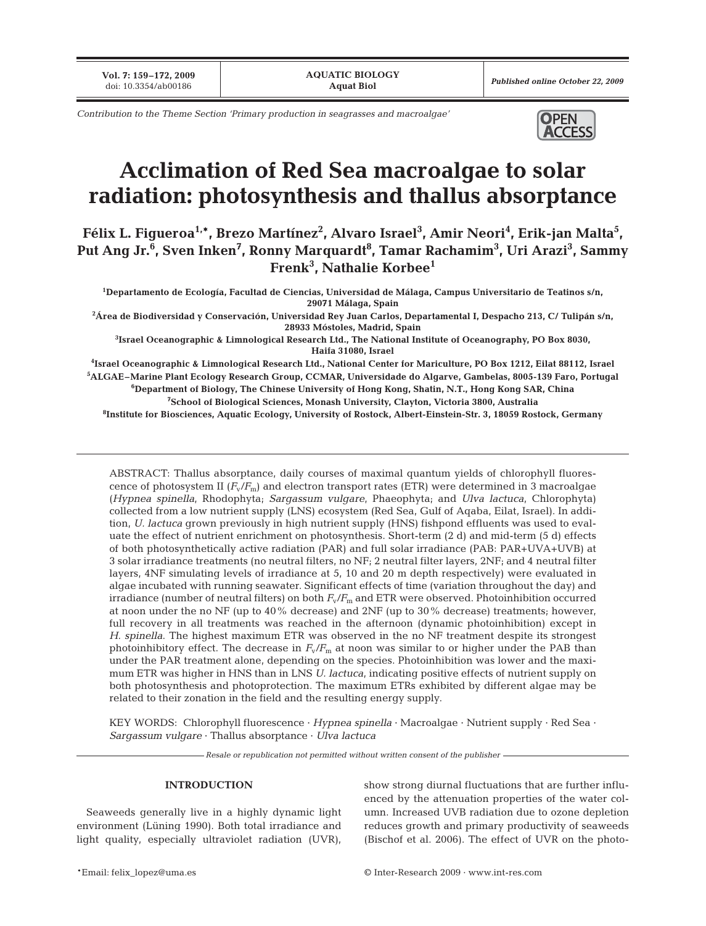**Vol. 7: 159–172, 2009**

*Contribution to the Theme Section 'Primary production in seagrasses and macroalgae'* **OPEN** 



# **Acclimation of Red Sea macroalgae to solar radiation: photosynthesis and thallus absorptance**

Félix L. Figueroa<sup>1,</sup>\*, Brezo Martínez<sup>2</sup>, Alvaro Israel<sup>3</sup>, Amir Neori<sup>4</sup>, Erik-jan Malta<sup>5</sup>, Put Ang Jr.<sup>6</sup>, Sven Inken<sup>7</sup>, Ronny Marquardt<sup>8</sup>, Tamar Rachamim<sup>3</sup>, Uri Arazi<sup>3</sup>, Sammy **Frenk3 , Nathalie Korbee1**

**1 Departamento de Ecología, Facultad de Ciencias, Universidad de Málaga, Campus Universitario de Teatinos s/n, 29071 Málaga, Spain**

**2 Área de Biodiversidad y Conservación, Universidad Rey Juan Carlos, Departamental I, Despacho 213, C/ Tulipán s/n, 28933 Móstoles, Madrid, Spain**

**3 Israel Oceanographic & Limnological Research Ltd., The National Institute of Oceanography, PO Box 8030, Haifa 31080, Israel**

**4 Israel Oceanographic & Limnological Research Ltd., National Center for Mariculture, PO Box 1212, Eilat 88112, Israel 5 ALGAE–Marine Plant Ecology Research Group, CCMAR, Universidade do Algarve, Gambelas, 8005-139 Faro, Portugal 6 Department of Biology, The Chinese University of Hong Kong, Shatin, N.T., Hong Kong SAR, China**

**7 School of Biological Sciences, Monash University, Clayton, Victoria 3800, Australia**

**8 Institute for Biosciences, Aquatic Ecology, University of Rostock, Albert-Einstein-Str. 3, 18059 Rostock, Germany**

ABSTRACT: Thallus absorptance, daily courses of maximal quantum yields of chlorophyll fluorescence of photosystem II  $(F_v/F_m)$  and electron transport rates (ETR) were determined in 3 macroalgae (*Hypnea spinella*, Rhodophyta; *Sargassum vulgare*, Phaeophyta; and *Ulva lactuca*, Chlorophyta) collected from a low nutrient supply (LNS) ecosystem (Red Sea, Gulf of Aqaba, Eilat, Israel). In addition, *U. lactuca* grown previously in high nutrient supply (HNS) fishpond effluents was used to evaluate the effect of nutrient enrichment on photosynthesis. Short-term (2 d) and mid-term (5 d) effects of both photosynthetically active radiation (PAR) and full solar irradiance (PAB: PAR+UVA+UVB) at 3 solar irradiance treatments (no neutral filters, no NF; 2 neutral filter layers, 2NF; and 4 neutral filter layers, 4NF simulating levels of irradiance at 5, 10 and 20 m depth respectively) were evaluated in algae incubated with running seawater. Significant effects of time (variation throughout the day) and irradiance (number of neutral filters) on both  $F_v/F_m$  and ETR were observed. Photoinhibition occurred at noon under the no NF (up to 40% decrease) and 2NF (up to 30% decrease) treatments; however, full recovery in all treatments was reached in the afternoon (dynamic photoinhibition) except in *H. spinella*. The highest maximum ETR was observed in the no NF treatment despite its strongest photoinhibitory effect. The decrease in *F*v/*F*<sup>m</sup> at noon was similar to or higher under the PAB than under the PAR treatment alone, depending on the species. Photoinhibition was lower and the maximum ETR was higher in HNS than in LNS *U. lactuca*, indicating positive effects of nutrient supply on both photosynthesis and photoprotection. The maximum ETRs exhibited by different algae may be related to their zonation in the field and the resulting energy supply.

KEY WORDS: Chlorophyll fluorescence · *Hypnea spinella* · Macroalgae · Nutrient supply · Red Sea · *Sargassum vulgare* · Thallus absorptance · *Ulva lactuca*

*Resale or republication not permitted without written consent of the publisher*

# **INTRODUCTION**

Seaweeds generally live in a highly dynamic light environment (Lüning 1990). Both total irradiance and light quality, especially ultraviolet radiation (UVR), show strong diurnal fluctuations that are further influenced by the attenuation properties of the water column. Increased UVB radiation due to ozone depletion reduces growth and primary productivity of seaweeds (Bischof et al. 2006). The effect of UVR on the photo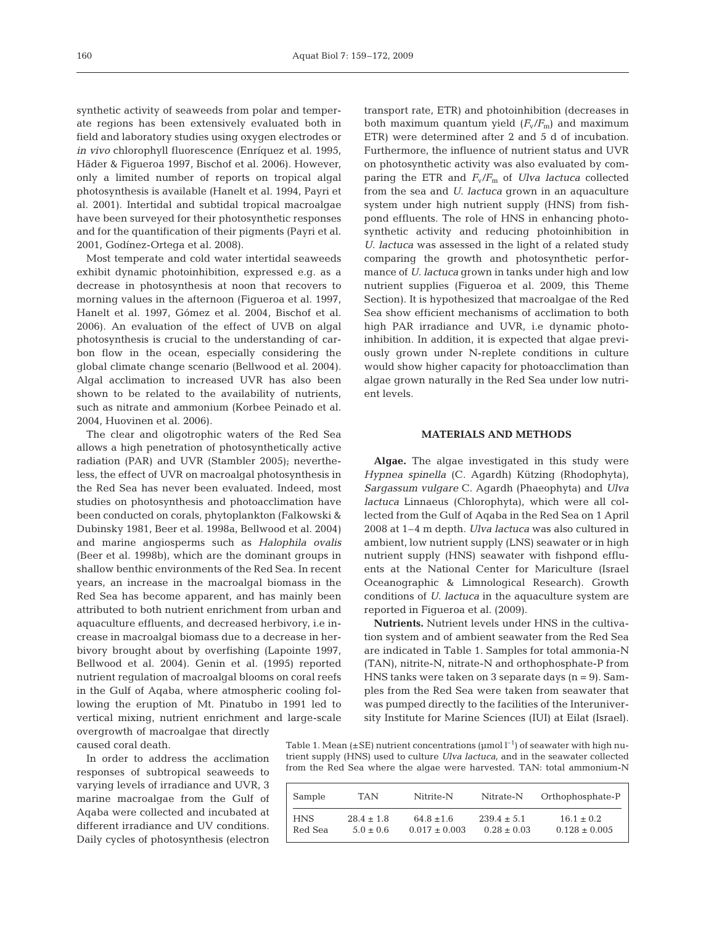synthetic activity of seaweeds from polar and temperate regions has been extensively evaluated both in field and laboratory studies using oxygen electrodes or *in vivo* chlorophyll fluorescence (Enríquez et al. 1995, Häder & Figueroa 1997, Bischof et al. 2006). However, only a limited number of reports on tropical algal photosynthesis is available (Hanelt et al. 1994, Payri et al. 2001). Intertidal and subtidal tropical macroalgae have been surveyed for their photosynthetic responses and for the quantification of their pigments (Payri et al. 2001, Godínez-Ortega et al. 2008).

Most temperate and cold water intertidal seaweeds exhibit dynamic photoinhibition, expressed e.g. as a decrease in photosynthesis at noon that recovers to morning values in the afternoon (Figueroa et al. 1997, Hanelt et al. 1997, Gómez et al. 2004, Bischof et al. 2006). An evaluation of the effect of UVB on algal photosynthesis is crucial to the understanding of carbon flow in the ocean, especially considering the global climate change scenario (Bellwood et al. 2004). Algal acclimation to increased UVR has also been shown to be related to the availability of nutrients, such as nitrate and ammonium (Korbee Peinado et al. 2004, Huovinen et al. 2006).

The clear and oligotrophic waters of the Red Sea allows a high penetration of photosynthetically active radiation (PAR) and UVR (Stambler 2005); nevertheless, the effect of UVR on macroalgal photosynthesis in the Red Sea has never been evaluated. Indeed, most studies on photosynthesis and photoacclimation have been conducted on corals, phytoplankton (Falkowski & Dubinsky 1981, Beer et al. 1998a, Bellwood et al. 2004) and marine angiosperms such as *Halophila ovalis* (Beer et al. 1998b), which are the dominant groups in shallow benthic environments of the Red Sea. In recent years, an increase in the macroalgal biomass in the Red Sea has become apparent, and has mainly been attributed to both nutrient enrichment from urban and aquaculture effluents, and decreased herbivory, i.e increase in macroalgal biomass due to a decrease in herbivory brought about by overfishing (Lapointe 1997, Bellwood et al. 2004). Genin et al. (1995) reported nutrient regulation of macroalgal blooms on coral reefs in the Gulf of Aqaba, where atmospheric cooling following the eruption of Mt. Pinatubo in 1991 led to vertical mixing, nutrient enrichment and large-scale overgrowth of macroalgae that directly caused coral death.

In order to address the acclimation responses of subtropical seaweeds to varying levels of irradiance and UVR, 3 marine macroalgae from the Gulf of Aqaba were collected and incubated at different irradiance and UV conditions. Daily cycles of photosynthesis (electron transport rate, ETR) and photoinhibition (decreases in both maximum quantum yield  $(F_v/F_m)$  and maximum ETR) were determined after 2 and 5 d of incubation. Furthermore, the influence of nutrient status and UVR on photosynthetic activity was also evaluated by comparing the ETR and *F*v/*F*<sup>m</sup> of *Ulva lactuca* collected from the sea and *U. lactuca* grown in an aquaculture system under high nutrient supply (HNS) from fishpond effluents. The role of HNS in enhancing photosynthetic activity and reducing photoinhibition in *U. lactuca* was assessed in the light of a related study comparing the growth and photosynthetic performance of *U. lactuca* grown in tanks under high and low nutrient supplies (Figueroa et al. 2009, this Theme Section). It is hypothesized that macroalgae of the Red Sea show efficient mechanisms of acclimation to both high PAR irradiance and UVR, i.e dynamic photoinhibition. In addition, it is expected that algae previously grown under N-replete conditions in culture would show higher capacity for photoacclimation than algae grown naturally in the Red Sea under low nutrient levels.

# **MATERIALS AND METHODS**

**Algae.** The algae investigated in this study were *Hypnea spinella* (C. Agardh) Kützing (Rhodophyta), *Sargassum vulgare* C. Agardh (Phaeophyta) and *Ulva lactuca* Linnaeus (Chlorophyta), which were all collected from the Gulf of Aqaba in the Red Sea on 1 April 2008 at 1–4 m depth. *Ulva lactuca* was also cultured in ambient, low nutrient supply (LNS) seawater or in high nutrient supply (HNS) seawater with fishpond effluents at the National Center for Mariculture (Israel Oceanographic & Limnological Research). Growth conditions of *U. lactuca* in the aquaculture system are reported in Figueroa et al. (2009).

**Nutrients.** Nutrient levels under HNS in the cultivation system and of ambient seawater from the Red Sea are indicated in Table 1. Samples for total ammonia-N (TAN), nitrite-N, nitrate-N and orthophosphate-P from HNS tanks were taken on 3 separate days  $(n = 9)$ . Samples from the Red Sea were taken from seawater that was pumped directly to the facilities of the Interuniversity Institute for Marine Sciences (IUI) at Eilat (Israel).

Table 1. Mean ( $\pm$ SE) nutrient concentrations ( $\mu$ mol  $l^{-1}$ ) of seawater with high nutrient supply (HNS) used to culture *Ulva lactuca*, and in the seawater collected from the Red Sea where the algae were harvested. TAN: total ammonium-N

| Sample     | TAN            | Nitrite-N         | Nitrate-N       | Orthophosphate-P  |
|------------|----------------|-------------------|-----------------|-------------------|
| <b>HNS</b> | $28.4 \pm 1.8$ | $64.8 \pm 1.6$    | $239.4 \pm 5.1$ | $16.1 \pm 0.2$    |
| Red Sea    | $5.0 + 0.6$    | $0.017 \pm 0.003$ | $0.28 \pm 0.03$ | $0.128 \pm 0.005$ |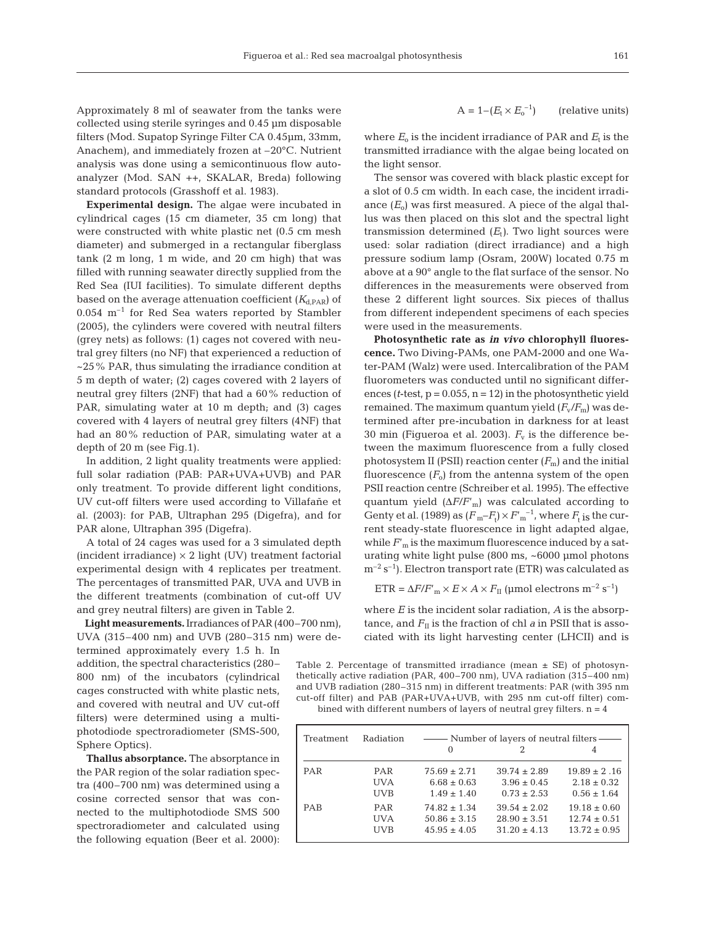Approximately 8 ml of seawater from the tanks were collected using sterile syringes and 0.45 µm disposable filters (Mod. Supatop Syringe Filter CA 0.45µm, 33mm, Anachem), and immediately frozen at –20°C. Nutrient analysis was done using a semicontinuous flow autoanalyzer (Mod. SAN ++, SKALAR, Breda) following standard protocols (Grasshoff et al. 1983).

**Experimental design.** The algae were incubated in cylindrical cages (15 cm diameter, 35 cm long) that were constructed with white plastic net (0.5 cm mesh diameter) and submerged in a rectangular fiberglass tank (2 m long, 1 m wide, and 20 cm high) that was filled with running seawater directly supplied from the Red Sea (IUI facilities). To simulate different depths based on the average attenuation coefficient  $(K_{d,PAR})$  of  $0.054$  m<sup>-1</sup> for Red Sea waters reported by Stambler (2005), the cylinders were covered with neutral filters (grey nets) as follows: (1) cages not covered with neutral grey filters (no NF) that experienced a reduction of ~25% PAR, thus simulating the irradiance condition at 5 m depth of water; (2) cages covered with 2 layers of neutral grey filters (2NF) that had a 60% reduction of PAR, simulating water at 10 m depth; and (3) cages covered with 4 layers of neutral grey filters (4NF) that had an 80% reduction of PAR, simulating water at a depth of 20 m (see Fig.1).

In addition, 2 light quality treatments were applied: full solar radiation (PAB: PAR+UVA+UVB) and PAR only treatment. To provide different light conditions, UV cut-off filters were used according to Villafañe et al. (2003): for PAB, Ultraphan 295 (Digefra), and for PAR alone, Ultraphan 395 (Digefra).

A total of 24 cages was used for a 3 simulated depth (incident irradiance)  $\times$  2 light (UV) treatment factorial experimental design with 4 replicates per treatment. The percentages of transmitted PAR, UVA and UVB in the different treatments (combination of cut-off UV and grey neutral filters) are given in Table 2.

**Light measurements.**Irradiances of PAR (400–700 nm), UVA (315–400 nm) and UVB (280–315 nm) were de-

termined approximately every 1.5 h. In addition, the spectral characteristics (280– 800 nm) of the incubators (cylindrical cages constructed with white plastic nets, and covered with neutral and UV cut-off filters) were determined using a multiphotodiode spectroradiometer (SMS-500, Sphere Optics).

**Thallus absorptance.** The absorptance in the PAR region of the solar radiation spectra (400–700 nm) was determined using a cosine corrected sensor that was connected to the multiphotodiode SMS 500 spectroradiometer and calculated using the following equation (Beer et al. 2000):

$$
A = 1 - (E_t \times E_o^{-1})
$$
 (relative units)

where  $E_0$  is the incident irradiance of PAR and  $E_t$  is the transmitted irradiance with the algae being located on the light sensor.

The sensor was covered with black plastic except for a slot of 0.5 cm width. In each case, the incident irradiance  $(E_0)$  was first measured. A piece of the algal thallus was then placed on this slot and the spectral light transmission determined  $(E_t)$ . Two light sources were used: solar radiation (direct irradiance) and a high pressure sodium lamp (Osram, 200W) located 0.75 m above at a 90° angle to the flat surface of the sensor. No differences in the measurements were observed from these 2 different light sources. Six pieces of thallus from different independent specimens of each species were used in the measurements.

**Photosynthetic rate as** *in vivo* **chlorophyll fluorescence.** Two Diving-PAMs, one PAM-2000 and one Water-PAM (Walz) were used. Intercalibration of the PAM fluorometers was conducted until no significant differences ( $t$ -test,  $p = 0.055$ ,  $n = 12$ ) in the photosynthetic yield remained. The maximum quantum yield  $(F_v/F_m)$  was determined after pre-incubation in darkness for at least 30 min (Figueroa et al. 2003).  $F_v$  is the difference between the maximum fluorescence from a fully closed photosystem II (PSII) reaction center  $(F_m)$  and the initial fluorescence  $(F_0)$  from the antenna system of the open PSII reaction centre (Schreiber et al. 1995). The effective quantum yield  $(\Delta F/F'_{\rm m})$  was calculated according to Genty et al. (1989) as  $(F_m-F_t)\times F'_{m}^{-1}$ , where  $F_t$  is the current steady-state fluorescence in light adapted algae, while  $F'_m$  is the maximum fluorescence induced by a saturating white light pulse (800 ms, ~6000 µmol photons  $m^{-2}$  s<sup>-1</sup>). Electron transport rate (ETR) was calculated as

 $ETR = \Delta F/F'_{m} \times E \times A \times F_{II}$  (µmol electrons m<sup>-2</sup> s<sup>-1</sup>)

where *E* is the incident solar radiation, *A* is the absorptance, and  $F_{II}$  is the fraction of chl *a* in PSII that is associated with its light harvesting center (LHCII) and is

Table 2. Percentage of transmitted irradiance (mean  $\pm$  SE) of photosynthetically active radiation (PAR, 400–700 nm), UVA radiation (315–400 nm) and UVB radiation (280–315 nm) in different treatments: PAR (with 395 nm cut-off filter) and PAB (PAR+UVA+UVB, with 295 nm cut-off filter) combined with different numbers of layers of neutral grey filters.  $n = 4$ 

| Treatment | Radiation  | — Number of layers of neutral filters - |                  |                  |  |
|-----------|------------|-----------------------------------------|------------------|------------------|--|
|           |            | $\Omega$                                |                  |                  |  |
| PAR       | PAR        | $75.69 \pm 2.71$                        | $39.74 \pm 2.89$ | $19.89 \pm 2.16$ |  |
|           | UVA        | $6.68 \pm 0.63$                         | $3.96 \pm 0.45$  | $2.18 \pm 0.32$  |  |
|           | <b>UVB</b> | $1.49 \pm 1.40$                         | $0.73 \pm 2.53$  | $0.56 \pm 1.64$  |  |
| PAB       | <b>PAR</b> | $74.82 \pm 1.34$                        | $39.54 \pm 2.02$ | $19.18 \pm 0.60$ |  |
|           | UVA        | $50.86 \pm 3.15$                        | $28.90 \pm 3.51$ | $12.74 \pm 0.51$ |  |
|           | <b>UVB</b> | $45.95 \pm 4.05$                        | $31.20 \pm 4.13$ | $13.72 \pm 0.95$ |  |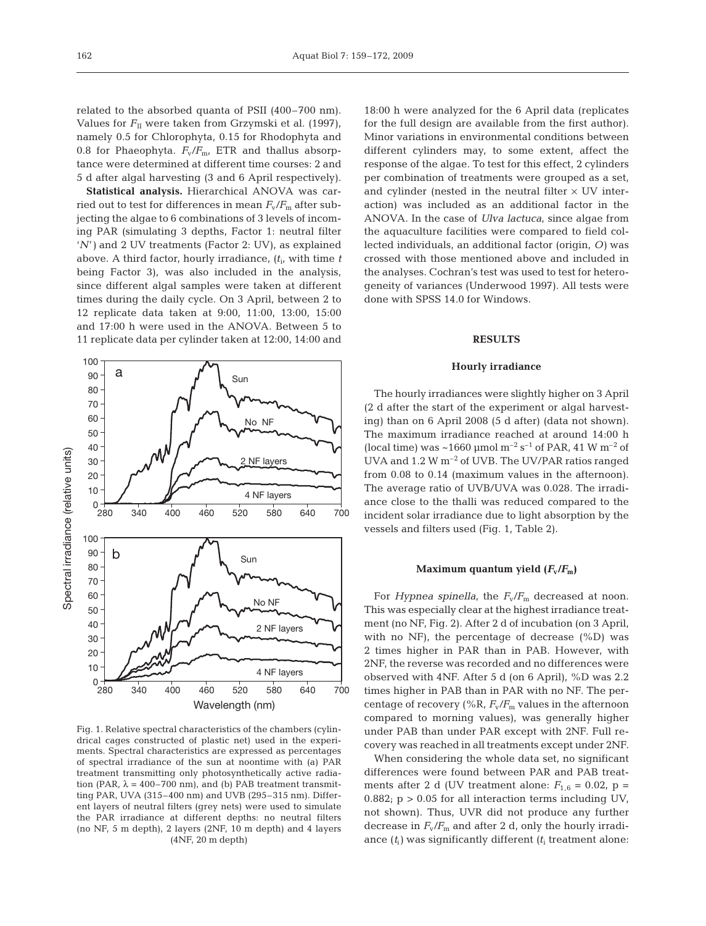related to the absorbed quanta of PSII (400–700 nm). Values for  $F_{II}$  were taken from Grzymski et al. (1997), namely 0.5 for Chlorophyta, 0.15 for Rhodophyta and 0.8 for Phaeophyta.  $F_v/F_{m}$ , ETR and thallus absorptance were determined at different time courses: 2 and 5 d after algal harvesting (3 and 6 April respectively).

**Statistical analysis.** Hierarchical ANOVA was carried out to test for differences in mean  $F_v/F_m$  after subjecting the algae to 6 combinations of 3 levels of incoming PAR (simulating 3 depths, Factor 1: neutral filter '*N*'*)* and 2 UV treatments (Factor 2: UV), as explained above. A third factor, hourly irradiance, (*t*i, with time *t* being Factor 3), was also included in the analysis, since different algal samples were taken at different times during the daily cycle. On 3 April, between 2 to 12 replicate data taken at 9:00, 11:00, 13:00, 15:00 and 17:00 h were used in the ANOVA. Between 5 to 11 replicate data per cylinder taken at 12:00, 14:00 and



Fig. 1. Relative spectral characteristics of the chambers (cylindrical cages constructed of plastic net) used in the experiments. Spectral characteristics are expressed as percentages of spectral irradiance of the sun at noontime with (a) PAR treatment transmitting only photosynthetically active radiation (PAR,  $\lambda = 400 - 700$  nm), and (b) PAB treatment transmitting PAR, UVA (315–400 nm) and UVB (295–315 nm). Different layers of neutral filters (grey nets) were used to simulate the PAR irradiance at different depths: no neutral filters (no NF, 5 m depth), 2 layers (2NF, 10 m depth) and 4 layers (4NF, 20 m depth)

18:00 h were analyzed for the 6 April data (replicates for the full design are available from the first author). Minor variations in environmental conditions between different cylinders may, to some extent, affect the response of the algae. To test for this effect, 2 cylinders per combination of treatments were grouped as a set, and cylinder (nested in the neutral filter  $\times$  UV interaction) was included as an additional factor in the ANOVA. In the case of *Ulva lactuca*, since algae from the aquaculture facilities were compared to field collected individuals, an additional factor (origin, *O)* was crossed with those mentioned above and included in the analyses. Cochran's test was used to test for heterogeneity of variances (Underwood 1997). All tests were done with SPSS 14.0 for Windows.

#### **RESULTS**

#### **Hourly irradiance**

The hourly irradiances were slightly higher on 3 April (2 d after the start of the experiment or algal harvesting) than on 6 April 2008 (5 d after) (data not shown). The maximum irradiance reached at around 14:00 h (local time) was  $\sim$ 1660 µmol m<sup>-2</sup> s<sup>-1</sup> of PAR, 41 W m<sup>-2</sup> of UVA and 1.2 W m<sup>-2</sup> of UVB. The UV/PAR ratios ranged from 0.08 to 0.14 (maximum values in the afternoon). The average ratio of UVB/UVA was 0.028. The irradiance close to the thalli was reduced compared to the incident solar irradiance due to light absorption by the vessels and filters used (Fig. 1, Table 2).

#### **Maximum quantum yield**  $(F_v/F_m)$

For *Hypnea spinella*, the  $F_v/F_m$  decreased at noon. This was especially clear at the highest irradiance treatment (no NF, Fig. 2). After 2 d of incubation (on 3 April, with no NF), the percentage of decrease  $(\%D)$  was 2 times higher in PAR than in PAB. However, with 2NF, the reverse was recorded and no differences were observed with 4NF. After 5 d (on 6 April), %D was 2.2 times higher in PAB than in PAR with no NF. The percentage of recovery (%R,  $F_v/F_m$  values in the afternoon compared to morning values), was generally higher under PAB than under PAR except with 2NF. Full recovery was reached in all treatments except under 2NF.

When considering the whole data set, no significant differences were found between PAR and PAB treatments after 2 d (UV treatment alone:  $F_{1,6} = 0.02$ , p = 0.882;  $p > 0.05$  for all interaction terms including UV, not shown). Thus, UVR did not produce any further decrease in  $F_v/F_m$  and after 2 d, only the hourly irradiance  $(t_i)$  was significantly different  $(t_i)$  treatment alone: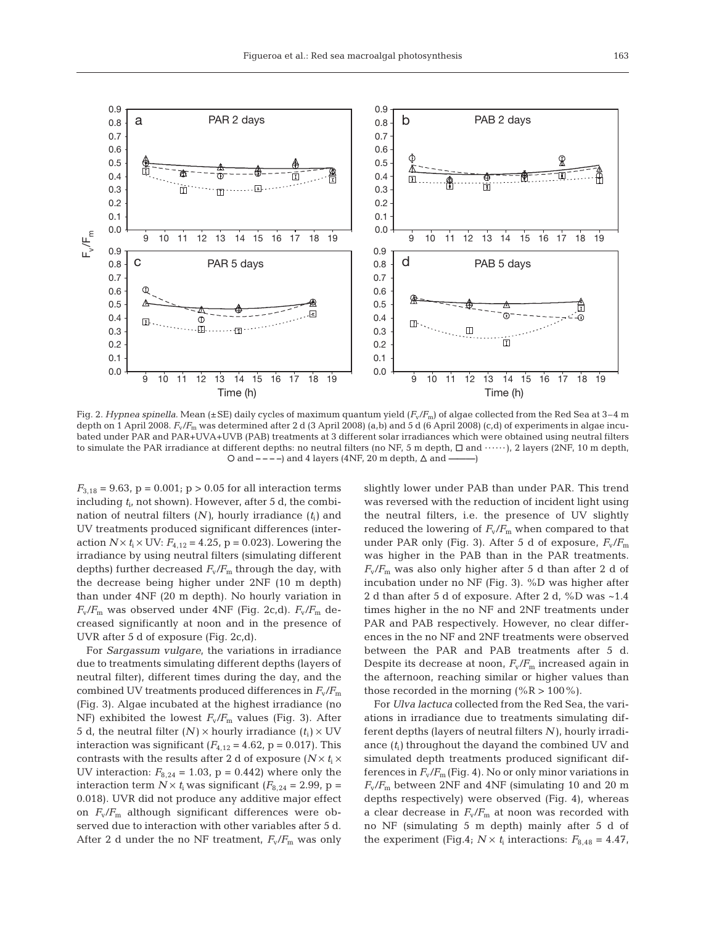

Fig. 2. *Hypnea spinella*. Mean (±SE) daily cycles of maximum quantum yield (*F*v/*F*m) of algae collected from the Red Sea at 3–4 m depth on 1 April 2008.  $F_v/F_m$  was determined after 2 d (3 April 2008) (a,b) and 5 d (6 April 2008) (c,d) of experiments in algae incubated under PAR and PAR+UVA+UVB (PAB) treatments at 3 different solar irradiances which were obtained using neutral filters to simulate the PAR irradiance at different depths: no neutral filters (no NF, 5 m depth,  $\Box$  and  $\cdots$ ), 2 layers (2NF, 10 m depth, O and – – ––) and 4 layers (4NF, 20 m depth, ∆ and —

 $F_{3,18} = 9.63$ ,  $p = 0.001$ ;  $p > 0.05$  for all interaction terms including  $t_i$ , not shown). However, after 5 d, the combination of neutral filters (*N)*, hourly irradiance (*t*i*)* and UV treatments produced significant differences (interaction  $N \times t$ <sub>i</sub>  $\times$  UV:  $F$ <sub>4,12</sub> = 4.25, p = 0.023). Lowering the irradiance by using neutral filters (simulating different depths) further decreased  $F_v/F_m$  through the day, with the decrease being higher under 2NF (10 m depth) than under 4NF (20 m depth). No hourly variation in  $F_{\rm v}/F_{\rm m}$  was observed under 4NF (Fig. 2c,d).  $F_{\rm v}/F_{\rm m}$  decreased significantly at noon and in the presence of UVR after 5 d of exposure (Fig. 2c,d).

For *Sargassum vulgare*, the variations in irradiance due to treatments simulating different depths (layers of neutral filter), different times during the day, and the combined UV treatments produced differences in  $F_v/F_m$ (Fig. 3). Algae incubated at the highest irradiance (no NF) exhibited the lowest  $F_v/F_m$  values (Fig. 3). After 5 d, the neutral filter  $(N) \times$  hourly irradiance  $(t_i) \times UV$ interaction was significant  $(F_{4,12} = 4.62, p = 0.017)$ . This contrasts with the results after 2 d of exposure  $(N \times t_i \times$ UV interaction:  $F_{8,24} = 1.03$ ,  $p = 0.442$ ) where only the interaction term  $N \times t$ <sub>i</sub> was significant ( $F_{8,24} = 2.99$ , p = 0.018). UVR did not produce any additive major effect on  $F_v/F_m$  although significant differences were observed due to interaction with other variables after 5 d. After 2 d under the no NF treatment,  $F_v/F_m$  was only slightly lower under PAB than under PAR. This trend was reversed with the reduction of incident light using the neutral filters, i.e. the presence of UV slightly reduced the lowering of  $F_v/F_m$  when compared to that under PAR only (Fig. 3). After 5 d of exposure,  $F_v/F_m$ was higher in the PAB than in the PAR treatments.  $F_{\rm v}/F_{\rm m}$  was also only higher after 5 d than after 2 d of incubation under no NF (Fig. 3). %D was higher after 2 d than after 5 d of exposure. After 2 d, %D was ~1.4 times higher in the no NF and 2NF treatments under PAR and PAB respectively. However, no clear differences in the no NF and 2NF treatments were observed between the PAR and PAB treatments after 5 d. Despite its decrease at noon,  $F_v/F_m$  increased again in the afternoon, reaching similar or higher values than those recorded in the morning (% $R > 100\%$ ).

For *Ulva lactuca* collected from the Red Sea, the variations in irradiance due to treatments simulating different depths (layers of neutral filters *N)*, hourly irradiance  $(t_i)$  throughout the dayand the combined UV and simulated depth treatments produced significant differences in  $F_v/F_m$  (Fig. 4). No or only minor variations in *F*v/*F*<sup>m</sup> between 2NF and 4NF (simulating 10 and 20 m depths respectively) were observed (Fig. 4), whereas a clear decrease in  $F_v/F_m$  at noon was recorded with no NF (simulating 5 m depth) mainly after 5 d of the experiment (Fig.4;  $N \times t_1$  interactions:  $F_{8,48} = 4.47$ ,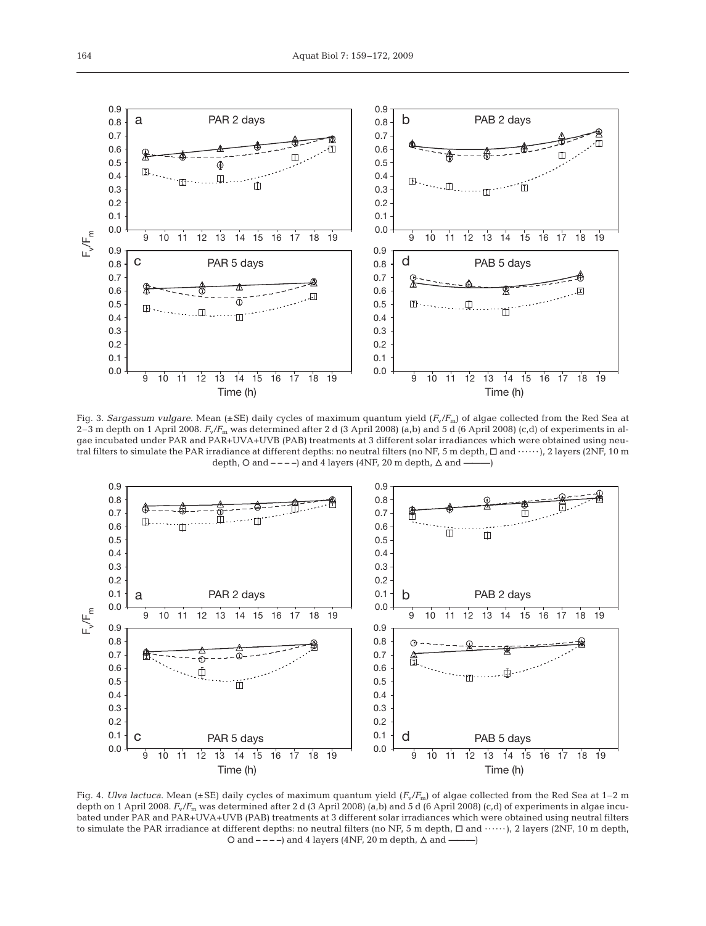

Fig. 3. *Sargassum vulgare*. Mean (±SE) daily cycles of maximum quantum yield ( $F_v/F_m$ ) of algae collected from the Red Sea at 2–3 m depth on 1 April 2008. *F*v/*F*<sup>m</sup> was determined after 2 d (3 April 2008) (a,b) and 5 d (6 April 2008) (c,d) of experiments in algae incubated under PAR and PAR+UVA+UVB (PAB) treatments at 3 different solar irradiances which were obtained using neutral filters to simulate the PAR irradiance at different depths: no neutral filters (no NF, 5 m depth,  $\Box$  and ······), 2 layers (2NF, 10 m depth,  $\circ$  and  $---$ ) and 4 layers (4NF, 20 m depth,  $\triangle$  and  $-$ 



Fig. 4. *Ulva lactuca*. Mean (±SE) daily cycles of maximum quantum yield (*F*v/*F*m) of algae collected from the Red Sea at 1–2 m depth on 1 April 2008.  $F_v/F_m$  was determined after 2 d (3 April 2008) (a,b) and 5 d (6 April 2008) (c,d) of experiments in algae incubated under PAR and PAR+UVA+UVB (PAB) treatments at 3 different solar irradiances which were obtained using neutral filters to simulate the PAR irradiance at different depths: no neutral filters (no NF, 5 m depth,  $\Box$  and  $\cdots$ ), 2 layers (2NF, 10 m depth, O and – – ––) and 4 layers (4NF, 20 m depth, ∆ and ———)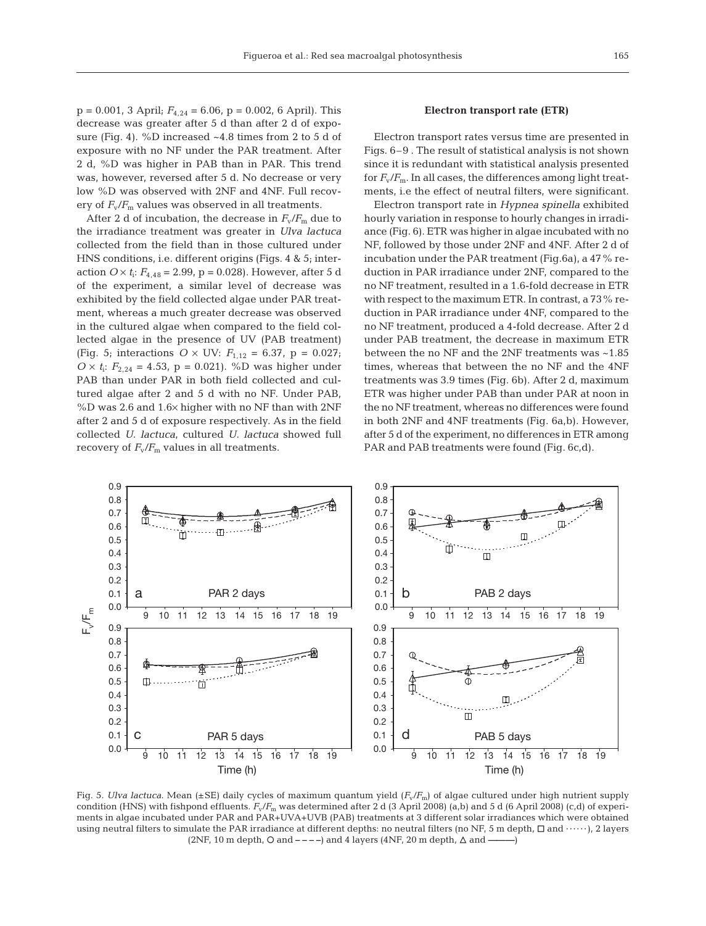$p = 0.001$ , 3 April;  $F_{4,24} = 6.06$ ,  $p = 0.002$ , 6 April). This decrease was greater after 5 d than after 2 d of exposure (Fig. 4). %D increased ~4.8 times from 2 to 5 d of exposure with no NF under the PAR treatment. After 2 d, %D was higher in PAB than in PAR. This trend was, however, reversed after 5 d. No decrease or very low %D was observed with 2NF and 4NF. Full recovery of  $F_v/F_m$  values was observed in all treatments.

After 2 d of incubation, the decrease in  $F_v/F_m$  due to the irradiance treatment was greater in *Ulva lactuca* collected from the field than in those cultured under HNS conditions, i.e. different origins (Figs. 4 & 5; interaction  $O \times t_i$ :  $F_{4,48} = 2.99$ ,  $p = 0.028$ ). However, after 5 d of the experiment, a similar level of decrease was exhibited by the field collected algae under PAR treatment, whereas a much greater decrease was observed in the cultured algae when compared to the field collected algae in the presence of UV (PAB treatment) (Fig. 5; interactions  $O \times UV$ :  $F_{1,12} = 6.37$ ,  $p = 0.027$ ;  $O \times t_i$ :  $F_{2,24} = 4.53$ ,  $p = 0.021$ ). %D was higher under PAB than under PAR in both field collected and cultured algae after 2 and 5 d with no NF. Under PAB, %D was 2.6 and 1.6× higher with no NF than with 2NF after 2 and 5 d of exposure respectively. As in the field collected *U. lactuca*, cultured *U. lactuca* showed full recovery of  $F_v/F_m$  values in all treatments.

# **Electron transport rate (ETR)**

Electron transport rates versus time are presented in Figs. 6–9 . The result of statistical analysis is not shown since it is redundant with statistical analysis presented for  $F_{\rm v}/F_{\rm m}$ . In all cases, the differences among light treatments, i.e the effect of neutral filters, were significant.

Electron transport rate in *Hypnea spinella* exhibited hourly variation in response to hourly changes in irradiance (Fig. 6). ETR was higher in algae incubated with no NF, followed by those under 2NF and 4NF. After 2 d of incubation under the PAR treatment (Fig.6a), a 47% reduction in PAR irradiance under 2NF, compared to the no NF treatment, resulted in a 1.6-fold decrease in ETR with respect to the maximum ETR. In contrast, a 73% reduction in PAR irradiance under 4NF, compared to the no NF treatment, produced a 4-fold decrease. After 2 d under PAB treatment, the decrease in maximum ETR between the no NF and the 2NF treatments was ~1.85 times, whereas that between the no NF and the 4NF treatments was 3.9 times (Fig. 6b). After 2 d, maximum ETR was higher under PAB than under PAR at noon in the no NF treatment, whereas no differences were found in both 2NF and 4NF treatments (Fig. 6a,b). However, after 5 d of the experiment, no differences in ETR among PAR and PAB treatments were found (Fig. 6c,d).



Fig. 5. *Ulva lactuca*. Mean (±SE) daily cycles of maximum quantum yield (*F*v/*F*m) of algae cultured under high nutrient supply condition (HNS) with fishpond effluents.  $F_v/F_m$  was determined after 2 d (3 April 2008) (a,b) and 5 d (6 April 2008) (c,d) of experiments in algae incubated under PAR and PAR+UVA+UVB (PAB) treatments at 3 different solar irradiances which were obtained using neutral filters to simulate the PAR irradiance at different depths: no neutral filters (no NF, 5 m depth,  $\Box$  and  $\cdots$ ), 2 layers (2NF, 10 m depth,  $\circ$  and  $\circ$  – – –) and 4 layers (4NF, 20 m depth,  $\triangle$  and —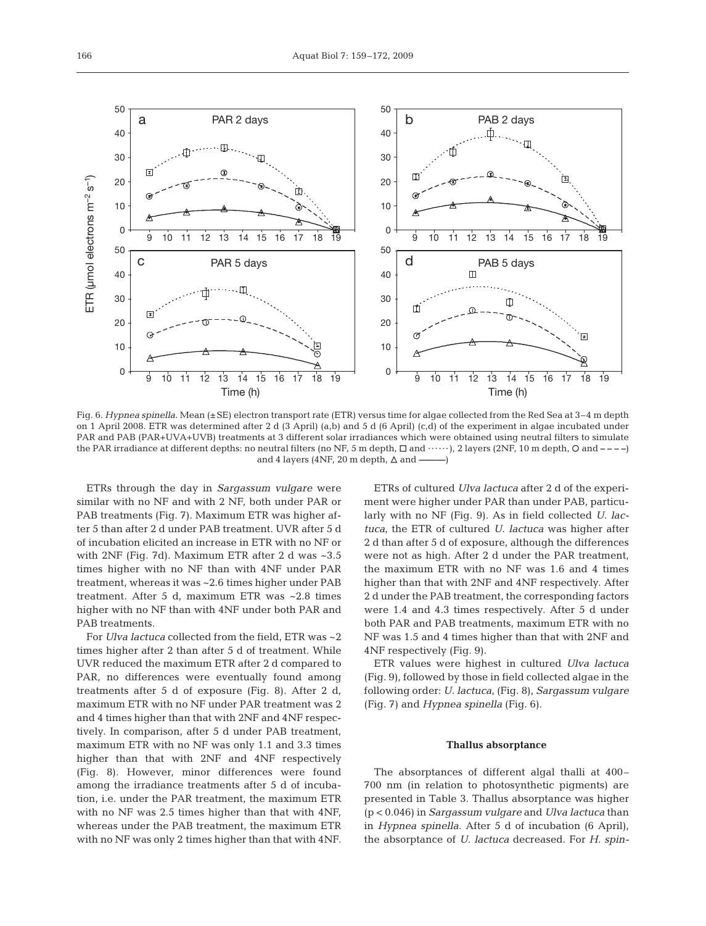

Fig. 6. *Hypnea spinella*. Mean (±SE) electron transport rate (ETR) versus time for algae collected from the Red Sea at 3–4 m depth on 1 April 2008. ETR was determined after 2 d (3 April) (a,b) and 5 d (6 April) (c,d) of the experiment in algae incubated under PAR and PAB (PAR+UVA+UVB) treatments at 3 different solar irradiances which were obtained using neutral filters to simulate the PAR irradiance at different depths: no neutral filters (no NF, 5 m depth,  $\Box$  and  $\cdots$ ), 2 layers (2NF, 10 m depth,  $\Diamond$  and  $---$ ) and 4 layers (4NF, 20 m depth,  $\Delta$  and  $-$ 

ETRs through the day in *Sargassum vulgare* were similar with no NF and with 2 NF, both under PAR or PAB treatments (Fig. 7). Maximum ETR was higher after 5 than after 2 d under PAB treatment. UVR after 5 d of incubation elicited an increase in ETR with no NF or with 2NF (Fig. 7d). Maximum ETR after 2 d was ~3.5 times higher with no NF than with 4NF under PAR treatment, whereas it was ~2.6 times higher under PAB treatment. After 5 d, maximum ETR was ~2.8 times higher with no NF than with 4NF under both PAR and PAB treatments.

For *Ulva lactuca* collected from the field, ETR was ~2 times higher after 2 than after 5 d of treatment. While UVR reduced the maximum ETR after 2 d compared to PAR, no differences were eventually found among treatments after 5 d of exposure (Fig. 8). After 2 d, maximum ETR with no NF under PAR treatment was 2 and 4 times higher than that with 2NF and 4NF respectively. In comparison, after 5 d under PAB treatment, maximum ETR with no NF was only 1.1 and 3.3 times higher than that with 2NF and 4NF respectively (Fig. 8). However, minor differences were found among the irradiance treatments after 5 d of incubation, i.e. under the PAR treatment, the maximum ETR with no NF was 2.5 times higher than that with 4NF, whereas under the PAB treatment, the maximum ETR with no NF was only 2 times higher than that with 4NF.

ETRs of cultured *Ulva lactuca* after 2 d of the experiment were higher under PAR than under PAB, particularly with no NF (Fig. 9). As in field collected *U. lactuca*, the ETR of cultured *U. lactuca* was higher after 2 d than after 5 d of exposure, although the differences were not as high. After 2 d under the PAR treatment, the maximum ETR with no NF was 1.6 and 4 times higher than that with 2NF and 4NF respectively. After 2 d under the PAB treatment, the corresponding factors were 1.4 and 4.3 times respectively. After 5 d under both PAR and PAB treatments, maximum ETR with no NF was 1.5 and 4 times higher than that with 2NF and 4NF respectively (Fig. 9).

ETR values were highest in cultured *Ulva lactuca* (Fig. 9), followed by those in field collected algae in the following order: *U. lactuca*, (Fig. 8), *Sargassum vulgare* (Fig. 7) and *Hypnea spinella* (Fig. 6).

#### **Thallus absorptance**

The absorptances of different algal thalli at 400– 700 nm (in relation to photosynthetic pigments) are presented in Table 3. Thallus absorptance was higher (p < 0.046) in *Sargassum vulgare* and *Ulva lactuca* than in *Hypnea spinella*. After 5 d of incubation (6 April), the absorptance of *U. lactuca* decreased. For *H. spin-*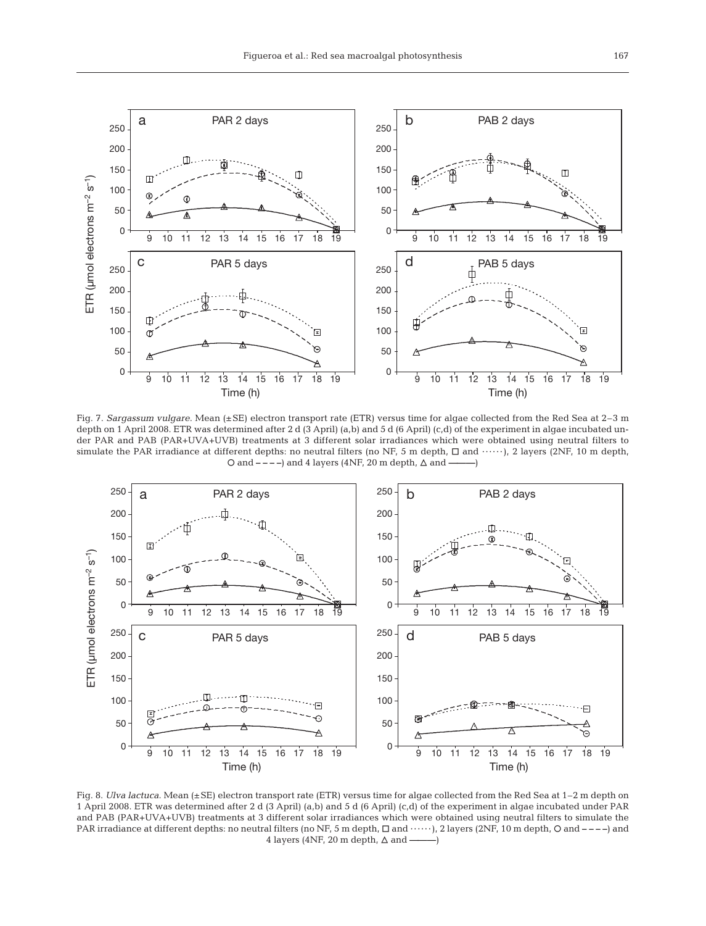

Fig. 7. *Sargassum vulgare*. Mean (±SE) electron transport rate (ETR) versus time for algae collected from the Red Sea at 2–3 m depth on 1 April 2008. ETR was determined after 2 d (3 April) (a,b) and 5 d (6 April) (c,d) of the experiment in algae incubated under PAR and PAB (PAR+UVA+UVB) treatments at 3 different solar irradiances which were obtained using neutral filters to simulate the PAR irradiance at different depths: no neutral filters (no NF, 5 m depth,  $\Box$  and  $\cdots$ ), 2 layers (2NF, 10 m depth, O and – – ––) and 4 layers (4NF, 20 m depth, ∆ and –——–)



Fig. 8. *Ulva lactuca*. Mean (±SE) electron transport rate (ETR) versus time for algae collected from the Red Sea at 1–2 m depth on 1 April 2008. ETR was determined after 2 d (3 April) (a,b) and 5 d (6 April) (c,d) of the experiment in algae incubated under PAR and PAB (PAR+UVA+UVB) treatments at 3 different solar irradiances which were obtained using neutral filters to simulate the PAR irradiance at different depths: no neutral filters (no NF, 5 m depth,  $\Box$  and ······), 2 layers (2NF, 10 m depth,  $\Box$  and ----) and 4 layers (4NF, 20 m depth,  $\triangle$  and  $\longrightarrow$ )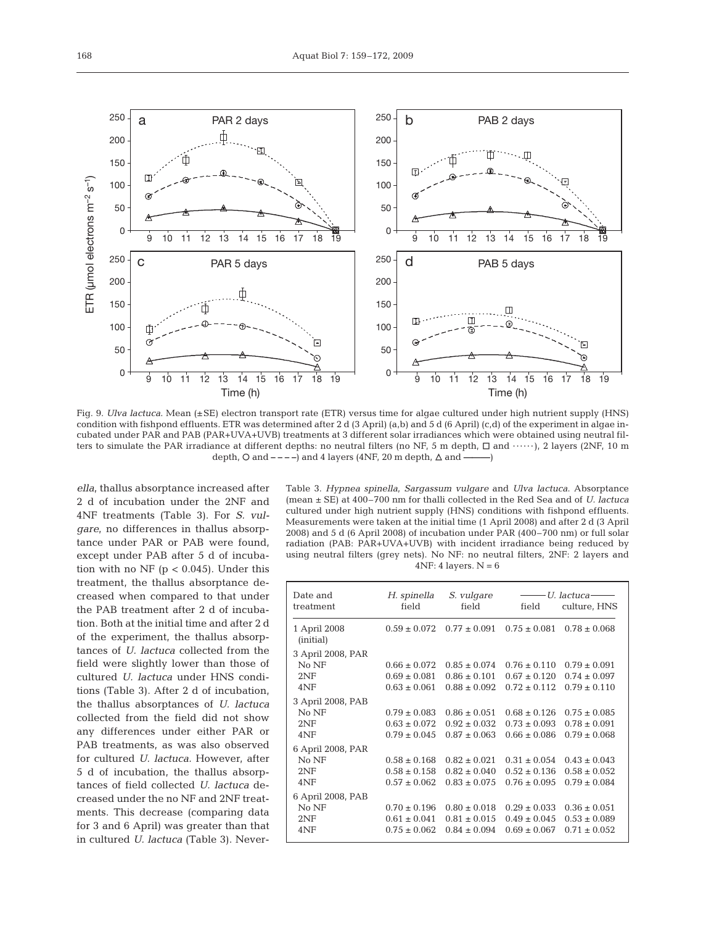

Fig. 9. *Ulva lactuca*. Mean (±SE) electron transport rate (ETR) versus time for algae cultured under high nutrient supply (HNS) condition with fishpond effluents. ETR was determined after 2 d (3 April) (a,b) and 5 d (6 April) (c,d) of the experiment in algae incubated under PAR and PAB (PAR+UVA+UVB) treatments at 3 different solar irradiances which were obtained using neutral filters to simulate the PAR irradiance at different depths: no neutral filters (no NF, 5 m depth,  $\Box$  and  $\cdots$ ), 2 layers (2NF, 10 m depth,  $\circ$  and  $\circ$  – – ––) and 4 layers (4NF, 20 m depth,  $\triangle$  and –

*ella*, thallus absorptance increased after 2 d of incubation under the 2NF and 4NF treatments (Table 3). For *S. vulgare*, no differences in thallus absorptance under PAR or PAB were found, except under PAB after 5 d of incubation with no NF ( $p < 0.045$ ). Under this treatment, the thallus absorptance decreased when compared to that under the PAB treatment after 2 d of incubation. Both at the initial time and after 2 d of the experiment, the thallus absorptances of *U. lactuca* collected from the field were slightly lower than those of cultured *U. lactuca* under HNS conditions (Table 3). After 2 d of incubation, the thallus absorptances of *U. lactuca* collected from the field did not show any differences under either PAR or PAB treatments, as was also observed for cultured *U. lactuca.* However, after 5 d of incubation, the thallus absorptances of field collected *U. lactuca* decreased under the no NF and 2NF treatments. This decrease (comparing data for 3 and 6 April) was greater than that in cultured *U. lactuca* (Table 3). NeverTable 3. *Hypnea spinella*, *Sargassum vulgare* and *Ulva lactuca*. Absorptance (mean ± SE) at 400–700 nm for thalli collected in the Red Sea and of *U. lactuca* cultured under high nutrient supply (HNS) conditions with fishpond effluents. Measurements were taken at the initial time (1 April 2008) and after 2 d (3 April 2008) and 5 d (6 April 2008) of incubation under PAR (400–700 nm) or full solar radiation (PAB: PAR+UVA+UVB) with incident irradiance being reduced by using neutral filters (grey nets). No NF: no neutral filters, 2NF: 2 layers and  $4NF: 4 layers. N = 6$ 

| Date and<br>treatment     | H. spinella<br>field | S. vulgare<br>field | ——— U. lactuca-<br>field | culture, HNS     |
|---------------------------|----------------------|---------------------|--------------------------|------------------|
| 1 April 2008<br>(initial) | $0.59 \pm 0.072$     | $0.77 \pm 0.091$    | $0.75 \pm 0.081$         | $0.78 \pm 0.068$ |
| 3 April 2008, PAR         |                      |                     |                          |                  |
| No NF                     | $0.66 \pm 0.072$     | $0.85 \pm 0.074$    | $0.76 \pm 0.110$         | $0.79 \pm 0.091$ |
| 2NF                       | $0.69 \pm 0.081$     | $0.86 \pm 0.101$    | $0.67 \pm 0.120$         | $0.74 \pm 0.097$ |
| 4NF                       | $0.63 \pm 0.061$     | $0.88 \pm 0.092$    | $0.72 \pm 0.112$         | $0.79 \pm 0.110$ |
| 3 April 2008, PAB         |                      |                     |                          |                  |
| No NF                     | $0.79 \pm 0.083$     | $0.86 \pm 0.051$    | $0.68 \pm 0.126$         | $0.75 \pm 0.085$ |
| 2NF                       | $0.63 \pm 0.072$     | $0.92 \pm 0.032$    | $0.73 \pm 0.093$         | $0.78 \pm 0.091$ |
| 4NF                       | $0.79 \pm 0.045$     | $0.87 \pm 0.063$    | $0.66 \pm 0.086$         | $0.79 \pm 0.068$ |
| 6 April 2008, PAR         |                      |                     |                          |                  |
| No NF                     | $0.58 \pm 0.168$     | $0.82 \pm 0.021$    | $0.31 + 0.054$           | $0.43 \pm 0.043$ |
| 2NF                       | $0.58 \pm 0.158$     | $0.82 \pm 0.040$    | $0.52 \pm 0.136$         | $0.58 \pm 0.052$ |
| 4NF                       | $0.57 \pm 0.062$     | $0.83 \pm 0.075$    | $0.76 \pm 0.095$         | $0.79 \pm 0.084$ |
| 6 April 2008, PAB         |                      |                     |                          |                  |
| No NF                     | $0.70 \pm 0.196$     | $0.80 \pm 0.018$    | $0.29 \pm 0.033$         | $0.36 \pm 0.051$ |
| 2NF                       | $0.61 \pm 0.041$     | $0.81 \pm 0.015$    | $0.49 \pm 0.045$         | $0.53 \pm 0.089$ |
| 4NF                       | $0.75 \pm 0.062$     | $0.84 \pm 0.094$    | $0.69 \pm 0.067$         | $0.71 \pm 0.052$ |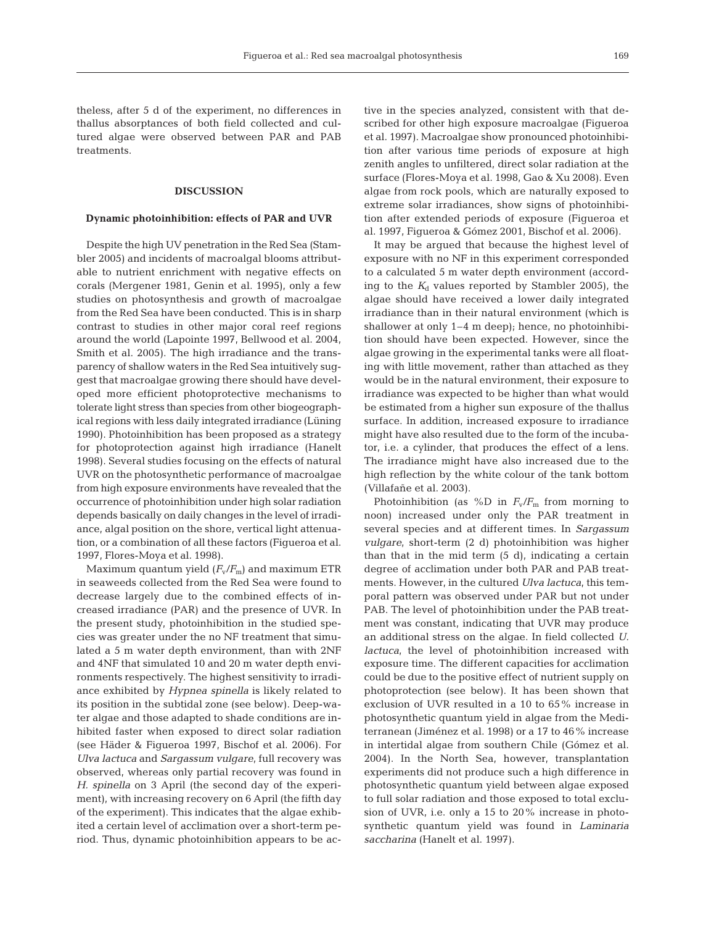theless, after 5 d of the experiment, no differences in thallus absorptances of both field collected and cultured algae were observed between PAR and PAB treatments.

# **DISCUSSION**

#### **Dynamic photoinhibition: effects of PAR and UVR**

Despite the high UV penetration in the Red Sea (Stambler 2005) and incidents of macroalgal blooms attributable to nutrient enrichment with negative effects on corals (Mergener 1981, Genin et al. 1995), only a few studies on photosynthesis and growth of macroalgae from the Red Sea have been conducted. This is in sharp contrast to studies in other major coral reef regions around the world (Lapointe 1997, Bellwood et al. 2004, Smith et al. 2005). The high irradiance and the transparency of shallow waters in the Red Sea intuitively suggest that macroalgae growing there should have developed more efficient photoprotective mechanisms to tolerate light stress than species from other biogeographical regions with less daily integrated irradiance (Lüning 1990). Photoinhibition has been proposed as a strategy for photoprotection against high irradiance (Hanelt 1998). Several studies focusing on the effects of natural UVR on the photosynthetic performance of macroalgae from high exposure environments have revealed that the occurrence of photoinhibition under high solar radiation depends basically on daily changes in the level of irradiance, algal position on the shore, vertical light attenuation, or a combination of all these factors (Figueroa et al. 1997, Flores-Moya et al. 1998).

Maximum quantum yield  $(F_v/F_m)$  and maximum ETR in seaweeds collected from the Red Sea were found to decrease largely due to the combined effects of increased irradiance (PAR) and the presence of UVR. In the present study, photoinhibition in the studied species was greater under the no NF treatment that simulated a 5 m water depth environment, than with 2NF and 4NF that simulated 10 and 20 m water depth environments respectively. The highest sensitivity to irradiance exhibited by *Hypnea spinella* is likely related to its position in the subtidal zone (see below). Deep-water algae and those adapted to shade conditions are inhibited faster when exposed to direct solar radiation (see Häder & Figueroa 1997, Bischof et al. 2006). For *Ulva lactuca* and *Sargassum vulgare*, full recovery was observed, whereas only partial recovery was found in *H. spinella* on 3 April (the second day of the experiment), with increasing recovery on 6 April (the fifth day of the experiment). This indicates that the algae exhibited a certain level of acclimation over a short-term period. Thus, dynamic photoinhibition appears to be active in the species analyzed, consistent with that described for other high exposure macroalgae (Figueroa et al. 1997). Macroalgae show pronounced photoinhibition after various time periods of exposure at high zenith angles to unfiltered, direct solar radiation at the surface (Flores-Moya et al. 1998, Gao & Xu 2008). Even algae from rock pools, which are naturally exposed to extreme solar irradiances, show signs of photoinhibition after extended periods of exposure (Figueroa et al. 1997, Figueroa & Gómez 2001, Bischof et al. 2006).

It may be argued that because the highest level of exposure with no NF in this experiment corresponded to a calculated 5 m water depth environment (according to the  $K_d$  values reported by Stambler 2005), the algae should have received a lower daily integrated irradiance than in their natural environment (which is shallower at only 1–4 m deep); hence, no photoinhibition should have been expected. However, since the algae growing in the experimental tanks were all floating with little movement, rather than attached as they would be in the natural environment, their exposure to irradiance was expected to be higher than what would be estimated from a higher sun exposure of the thallus surface. In addition, increased exposure to irradiance might have also resulted due to the form of the incubator, i.e. a cylinder, that produces the effect of a lens. The irradiance might have also increased due to the high reflection by the white colour of the tank bottom (Villafañe et al. 2003).

Photoinhibition (as  $\%D$  in  $F_v/F_m$  from morning to noon) increased under only the PAR treatment in several species and at different times. In *Sargassum vulgare*, short-term (2 d) photoinhibition was higher than that in the mid term (5 d), indicating a certain degree of acclimation under both PAR and PAB treatments. However, in the cultured *Ulva lactuca*, this temporal pattern was observed under PAR but not under PAB. The level of photoinhibition under the PAB treatment was constant, indicating that UVR may produce an additional stress on the algae. In field collected *U. lactuca*, the level of photoinhibition increased with exposure time. The different capacities for acclimation could be due to the positive effect of nutrient supply on photoprotection (see below). It has been shown that exclusion of UVR resulted in a 10 to 65% increase in photosynthetic quantum yield in algae from the Mediterranean (Jiménez et al. 1998) or a 17 to 46% increase in intertidal algae from southern Chile (Gómez et al. 2004). In the North Sea, however, transplantation experiments did not produce such a high difference in photosynthetic quantum yield between algae exposed to full solar radiation and those exposed to total exclusion of UVR, i.e. only a 15 to 20% increase in photosynthetic quantum yield was found in *Laminaria saccharina* (Hanelt et al. 1997).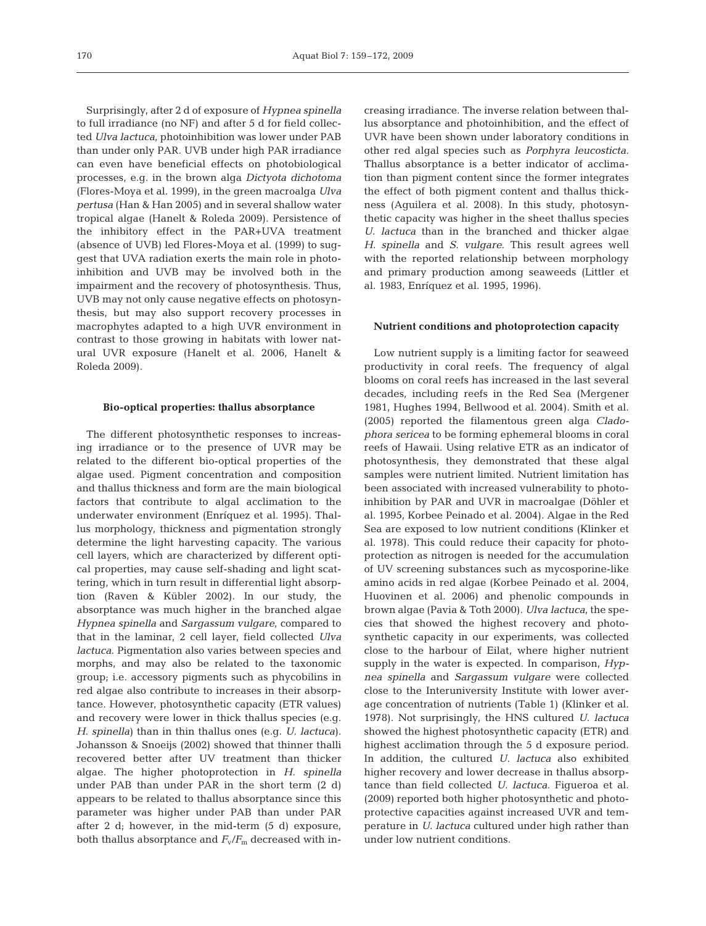Surprisingly, after 2 d of exposure of *Hypnea spinella* to full irradiance (no NF) and after 5 d for field collected *Ulva lactuca*, photoinhibition was lower under PAB than under only PAR. UVB under high PAR irradiance can even have beneficial effects on photobiological processes, e.g. in the brown alga *Dictyota dichotoma* (Flores-Moya et al. 1999), in the green macroalga *Ulva pertusa* (Han & Han 2005) and in several shallow water tropical algae (Hanelt & Roleda 2009). Persistence of the inhibitory effect in the PAR+UVA treatment (absence of UVB) led Flores-Moya et al. (1999) to suggest that UVA radiation exerts the main role in photoinhibition and UVB may be involved both in the impairment and the recovery of photosynthesis. Thus, UVB may not only cause negative effects on photosynthesis, but may also support recovery processes in macrophytes adapted to a high UVR environment in contrast to those growing in habitats with lower natural UVR exposure (Hanelt et al. 2006, Hanelt & Roleda 2009).

#### **Bio-optical properties: thallus absorptance**

The different photosynthetic responses to increasing irradiance or to the presence of UVR may be related to the different bio-optical properties of the algae used. Pigment concentration and composition and thallus thickness and form are the main biological factors that contribute to algal acclimation to the underwater environment (Enríquez et al. 1995). Thallus morphology, thickness and pigmentation strongly determine the light harvesting capacity. The various cell layers, which are characterized by different optical properties, may cause self-shading and light scattering, which in turn result in differential light absorption (Raven & Kübler 2002). In our study, the absorptance was much higher in the branched algae *Hypnea spinella* and *Sargassum vulgare*, compared to that in the laminar, 2 cell layer, field collected *Ulva lactuca*. Pigmentation also varies between species and morphs, and may also be related to the taxonomic group; i.e. accessory pigments such as phycobilins in red algae also contribute to increases in their absorptance. However, photosynthetic capacity (ETR values) and recovery were lower in thick thallus species (e.g. *H. spinella*) than in thin thallus ones (e.g. *U. lactuca*)*.* Johansson & Snoeijs (2002) showed that thinner thalli recovered better after UV treatment than thicker algae. The higher photoprotection in *H. spinella* under PAB than under PAR in the short term (2 d) appears to be related to thallus absorptance since this parameter was higher under PAB than under PAR after 2 d; however, in the mid-term (5 d) exposure, both thallus absorptance and  $F_v/F_m$  decreased with increasing irradiance. The inverse relation between thallus absorptance and photoinhibition, and the effect of UVR have been shown under laboratory conditions in other red algal species such as *Porphyra leucosticta.* Thallus absorptance is a better indicator of acclimation than pigment content since the former integrates the effect of both pigment content and thallus thickness (Aguilera et al. 2008). In this study, photosynthetic capacity was higher in the sheet thallus species *U. lactuca* than in the branched and thicker algae *H. spinella* and *S. vulgare*. This result agrees well with the reported relationship between morphology and primary production among seaweeds (Littler et al. 1983, Enríquez et al. 1995, 1996).

#### **Nutrient conditions and photoprotection capacity**

Low nutrient supply is a limiting factor for seaweed productivity in coral reefs. The frequency of algal blooms on coral reefs has increased in the last several decades, including reefs in the Red Sea (Mergener 1981, Hughes 1994, Bellwood et al. 2004). Smith et al. (2005) reported the filamentous green alga *Cladophora sericea* to be forming ephemeral blooms in coral reefs of Hawaii. Using relative ETR as an indicator of photosynthesis, they demonstrated that these algal samples were nutrient limited. Nutrient limitation has been associated with increased vulnerability to photoinhibition by PAR and UVR in macroalgae (Döhler et al. 1995, Korbee Peinado et al. 2004). Algae in the Red Sea are exposed to low nutrient conditions (Klinker et al. 1978). This could reduce their capacity for photoprotection as nitrogen is needed for the accumulation of UV screening substances such as mycosporine-like amino acids in red algae (Korbee Peinado et al. 2004, Huovinen et al. 2006) and phenolic compounds in brown algae (Pavia & Toth 2000). *Ulva lactuca*, the species that showed the highest recovery and photosynthetic capacity in our experiments, was collected close to the harbour of Eilat, where higher nutrient supply in the water is expected. In comparison, *Hypnea spinella* and *Sargassum vulgare* were collected close to the Interuniversity Institute with lower average concentration of nutrients (Table 1) (Klinker et al. 1978). Not surprisingly, the HNS cultured *U. lactuca* showed the highest photosynthetic capacity (ETR) and highest acclimation through the 5 d exposure period. In addition, the cultured *U. lactuca* also exhibited higher recovery and lower decrease in thallus absorptance than field collected *U. lactuca*. Figueroa et al. (2009) reported both higher photosynthetic and photoprotective capacities against increased UVR and temperature in *U. lactuca* cultured under high rather than under low nutrient conditions.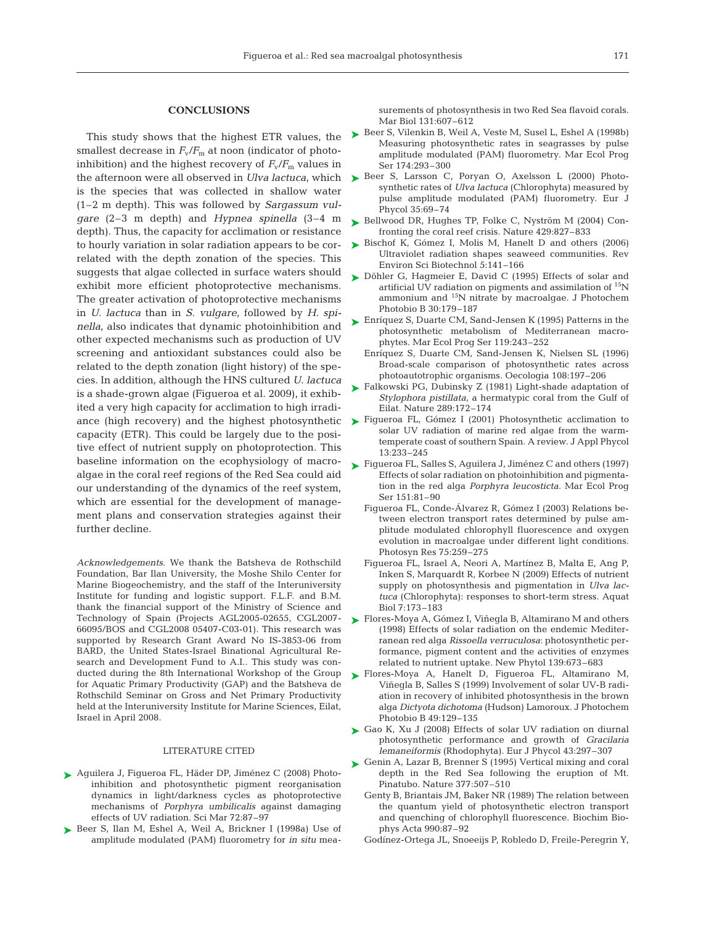# **CONCLUSIONS**

This study shows that the highest ETR values, the smallest decrease in  $F_v/F_m$  at noon (indicator of photoinhibition) and the highest recovery of  $F_v/F_m$  values in the afternoon were all observed in *Ulva lactuca*, which is the species that was collected in shallow water (1–2 m depth). This was followed by *Sargassum vulgare* (2–3 m depth) and *Hypnea spinella* (3–4 m depth). Thus, the capacity for acclimation or resistance to hourly variation in solar radiation appears to be correlated with the depth zonation of the species. This suggests that algae collected in surface waters should exhibit more efficient photoprotective mechanisms. The greater activation of photoprotective mechanisms in *U. lactuca* than in *S. vulgare*, followed by *H. spinella*, also indicates that dynamic photoinhibition and other expected mechanisms such as production of UV screening and antioxidant substances could also be related to the depth zonation (light history) of the species. In addition, although the HNS cultured *U. lactuca* is a shade-grown algae (Figueroa et al. 2009), it exhibited a very high capacity for acclimation to high irradiance (high recovery) and the highest photosynthetic capacity (ETR). This could be largely due to the positive effect of nutrient supply on photoprotection. This baseline information on the ecophysiology of macroalgae in the coral reef regions of the Red Sea could aid our understanding of the dynamics of the reef system, which are essential for the development of management plans and conservation strategies against their further decline.

*Acknowledgements*. We thank the Batsheva de Rothschild Foundation, Bar Ilan University, the Moshe Shilo Center for Marine Biogeochemistry, and the staff of the Interuniversity Institute for funding and logistic support. F.L.F. and B.M. thank the financial support of the Ministry of Science and Technology of Spain (Projects AGL2005-02655, CGL2007- 66095/BOS and CGL2008 05407-C03-01). This research was supported by Research Grant Award No IS-3853-06 from BARD, the United States-Israel Binational Agricultural Research and Development Fund to A.I.. This study was conducted during the 8th International Workshop of the Group for Aquatic Primary Productivity (GAP) and the Batsheva de Rothschild Seminar on Gross and Net Primary Productivity held at the Interuniversity Institute for Marine Sciences, Eilat, Israel in April 2008.

# LITERATURE CITED

- ▶ Aguilera J, Figueroa FL, Häder DP, Jiménez C (2008) Photoinhibition and photosynthetic pigment reorganisation dynamics in light/darkness cycles as photoprotective mechanisms of *Porphyra umbilicalis* against damaging effects of UV radiation. Sci Mar 72:87–97
- ▶ Beer S, Ilan M, Eshel A, Weil A, Brickner I (1998a) Use of amplitude modulated (PAM) fluorometry for *in situ* mea-

surements of photosynthesis in two Red Sea flavoid corals. Mar Biol 131:607–612

- ► Beer S, Vilenkin B, Weil A, Veste M, Susel L, Eshel A (1998b) Measuring photosynthetic rates in seagrasses by pulse amplitude modulated (PAM) fluorometry. Mar Ecol Prog Ser 174:293–300
- ► Beer S, Larsson C, Poryan O, Axelsson L (2000) Photosynthetic rates of *Ulva lactuca* (Chlorophyta) measured by pulse amplitude modulated (PAM) fluorometry. Eur J Phycol 35:69–74
- ► Bellwood DR, Hughes TP, Folke C, Nyström M (2004) Confronting the coral reef crisis. Nature 429:827–833
- ► Bischof K, Gómez I, Molis M, Hanelt D and others (2006) Ultraviolet radiation shapes seaweed communities. Rev Environ Sci Biotechnol 5:141–166
- ► Döhler G, Hagmeier E, David C (1995) Effects of solar and artificial UV radiation on pigments and assimilation of <sup>15</sup>N ammonium and 15N nitrate by macroalgae. J Photochem Photobio B 30:179–187
- ► Enríquez S, Duarte CM, Sand-Jensen K (1995) Patterns in the photosynthetic metabolism of Mediterranean macrophytes. Mar Ecol Prog Ser 119:243–252
	- Enríquez S, Duarte CM, Sand-Jensen K, Nielsen SL (1996) Broad-scale comparison of photosynthetic rates across photoautotrophic organisms. Oecologia 108:197–206
- ► Falkowski PG, Dubinsky Z (1981) Light-shade adaptation of *Stylophora pistillata*, a hermatypic coral from the Gulf of Eilat. Nature 289:172–174
- ► Figueroa FL, Gómez I (2001) Photosynthetic acclimation to solar UV radiation of marine red algae from the warmtemperate coast of southern Spain. A review. J Appl Phycol 13:233–245
- ► Figueroa FL, Salles S, Aguilera J, Jiménez C and others (1997) Effects of solar radiation on photoinhibition and pigmentation in the red alga *Porphyra leucosticta.* Mar Ecol Prog Ser 151:81–90
	- Figueroa FL, Conde-Álvarez R, Gómez I (2003) Relations between electron transport rates determined by pulse amplitude modulated chlorophyll fluorescence and oxygen evolution in macroalgae under different light conditions. Photosyn Res 75:259–275
	- Figueroa FL, Israel A, Neori A, Martínez B, Malta E, Ang P, Inken S, Marquardt R, Korbee N (2009) Effects of nutrient supply on photosynthesis and pigmentation in *Ulva lactuca* (Chlorophyta): responses to short-term stress. Aquat Biol 7:173–183
- ► Flores-Moya A, Gómez I, Viñegla B, Altamirano M and others (1998) Effects of solar radiation on the endemic Mediterranean red alga *Rissoella verruculosa*: photosynthetic performance, pigment content and the activities of enzymes related to nutrient uptake*.* New Phytol 139:673–683
- Flores-Moya A, Hanelt D, Figueroa FL, Altamirano M, ➤ Viñegla B, Salles S (1999) Involvement of solar UV-B radiation in recovery of inhibited photosynthesis in the brown alga *Dictyota dichotoma* (Hudson) Lamoroux. J Photochem Photobio B 49:129–135
- ► Gao K, Xu J (2008) Effects of solar UV radiation on diurnal photosynthetic performance and growth of *Gracilaria lemaneiformis* (Rhodophyta). Eur J Phycol 43:297–307
- ► Genin A, Lazar B, Brenner S (1995) Vertical mixing and coral depth in the Red Sea following the eruption of Mt. Pinatubo. Nature 377:507–510
	- Genty B, Briantais JM, Baker NR (1989) The relation between the quantum yield of photosynthetic electron transport and quenching of chlorophyll fluorescence. Biochim Biophys Acta 990:87–92
	- Godínez-Ortega JL, Snoeeijs P, Robledo D, Freile-Peregrin Y,